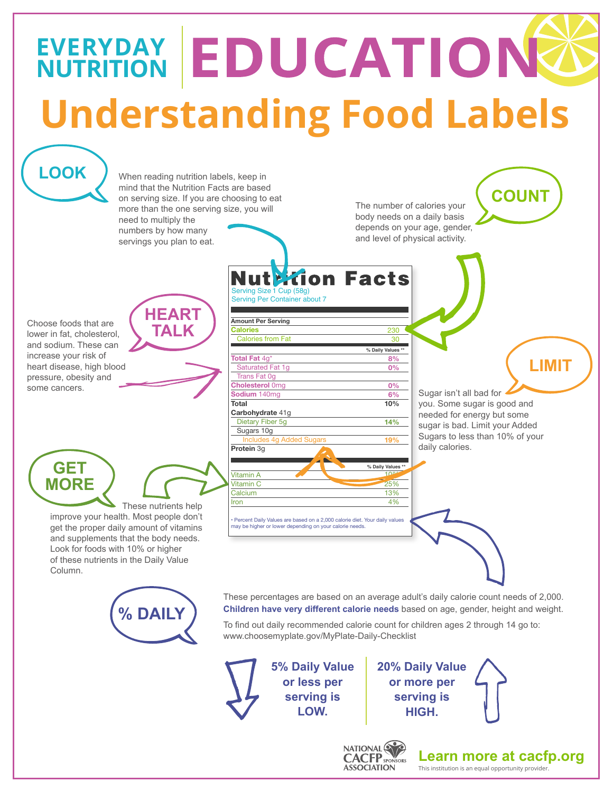

This institution is an equal opportunity provider.

**ASSOCIATION**